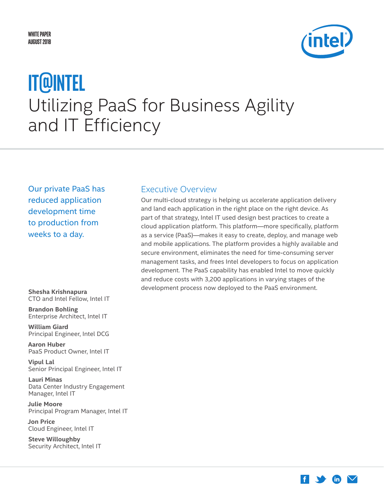

# <span id="page-0-0"></span>Utilizing PaaS for Business Agility and IT Efficiency **IT@Intel**

Our private PaaS has reduced application development time to production from weeks to a day.

**Shesha Krishnapura** CTO and Intel Fellow, Intel IT

**Brandon Bohling** Enterprise Architect, Intel IT

**William Giard** Principal Engineer, Intel DCG

**Aaron Huber**  PaaS Product Owner, Intel IT

**Vipul Lal** Senior Principal Engineer, Intel IT

**Lauri Minas** Data Center Industry Engagement Manager, Intel IT

**Julie Moore** Principal Program Manager, Intel IT

**Jon Price** Cloud Engineer, Intel IT

**Steve Willoughby** Security Architect, Intel IT

# Executive Overview

Our multi-cloud strategy is helping us accelerate application delivery and land each application in the right place on the right device. As part of that strategy, Intel IT used design best practices to create a cloud application platform. This platform—more specifically, platform as a service (PaaS)—makes it easy to create, deploy, and manage web and mobile applications. The platform provides a highly available and secure environment, eliminates the need for time-consuming server management tasks, and frees Intel developers to focus on application development. The PaaS capability has enabled Intel to move quickly and reduce costs with 3,200 applications in varying stages of the development process now deployed to the PaaS environment.

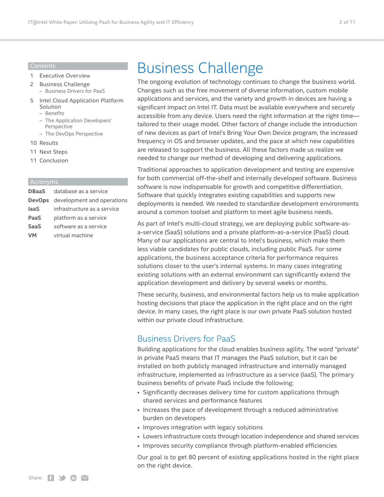#### Contents

- 1 [Executive Overview](#page-0-0)
- 2 Business Challenge – Business Drivers for PaaS
- 5 [Intel Cloud Application Platform](#page-4-0)  [Solution](#page-4-0)
	- [Benefits](#page-5-0)
	- [The Application Developers'](#page-7-0)  [Perspective](#page-7-0)
	- [The DevOps Perspective](#page-8-0)
- 10 [Results](#page-9-0)
- 11 [Next Steps](#page-10-0)
- 11 [Conclusion](#page-10-0)

#### Acronyms

|             | <b>DBaaS</b> database as a service |
|-------------|------------------------------------|
|             | DevOps development and operations  |
| laaS        | infrastructure as a service        |
| PaaS        | platform as a service              |
| <b>SaaS</b> | software as a service              |
| <b>VM</b>   | virtual machine                    |
|             |                                    |

# Business Challenge

The ongoing evolution of technology continues to change the business world. Changes such as the free movement of diverse information, custom mobile applications and services, and the variety and growth in devices are having a significant impact on Intel IT. Data must be available everywhere and securely accessible from any device. Users need the right information at the right time tailored to their usage model. Other factors of change include the introduction of new devices as part of Intel's Bring Your Own Device program, the increased frequency in OS and browser updates, and the pace at which new capabilities are released to support the business. All these factors made us realize we needed to change our method of developing and delivering applications.

Traditional approaches to application development and testing are expensive for both commercial off-the-shelf and internally developed software. Business software is now indispensable for growth and competitive differentiation. Software that quickly integrates existing capabilities and supports new deployments is needed. We needed to standardize development environments around a common toolset and platform to meet agile business needs.

As part of Intel's multi-cloud strategy, we are deploying public software-asa-service (SaaS) solutions and a private platform-as-a-service (PaaS) cloud. Many of our applications are central to Intel's business, which make them less viable candidates for public clouds, including public PaaS. For some applications, the business acceptance criteria for performance requires solutions closer to the user's internal systems. In many cases integrating existing solutions with an external environment can significantly extend the application development and delivery by several weeks or months.

These security, business, and environmental factors help us to make application hosting decisions that place the application in the right place and on the right device. In many cases, the right place is our own private PaaS solution hosted within our private cloud infrastructure.

# Business Drivers for PaaS

Building applications for the cloud enables business agility. The word "private" in private PaaS means that IT manages the PaaS solution, but it can be installed on both publicly managed infrastructure and internally managed infrastructure, implemented as infrastructure as a service (IaaS). The primary business benefits of private PaaS include the following:

- Significantly decreases delivery time for custom applications through shared services and performance features
- Increases the pace of development through a reduced administrative burden on developers
- Improves integration with legacy solutions
- Lowers infrastructure costs through location independence and shared services
- Improves security compliance through platform-enabled efficiencies

Our goal is to get 80 percent of existing applications hosted in the right place on the right device.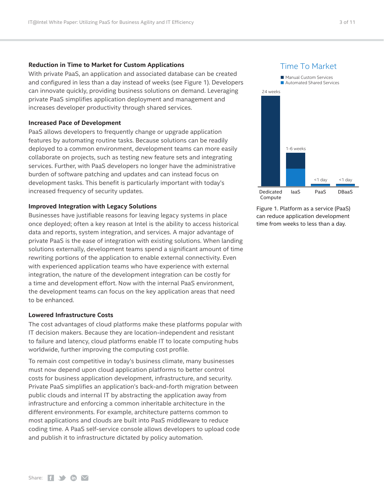#### **Reduction in Time to Market for Custom Applications**

With private PaaS, an application and associated database can be created and configured in less than a day instead of weeks (see Figure 1). Developers can innovate quickly, providing business solutions on demand. Leveraging private PaaS simplifies application deployment and management and increases developer productivity through shared services.

#### **Increased Pace of Development**

PaaS allows developers to frequently change or upgrade application features by automating routine tasks. Because solutions can be readily deployed to a common environment, development teams can more easily collaborate on projects, such as testing new feature sets and integrating services. Further, with PaaS developers no longer have the administrative burden of software patching and updates and can instead focus on development tasks. This benefit is particularly important with today's increased frequency of security updates.

#### **Improved Integration with Legacy Solutions**

Businesses have justifiable reasons for leaving legacy systems in place once deployed; often a key reason at Intel is the ability to access historical data and reports, system integration, and services. A major advantage of private PaaS is the ease of integration with existing solutions. When landing solutions externally, development teams spend a significant amount of time rewriting portions of the application to enable external connectivity. Even with experienced application teams who have experience with external integration, the nature of the development integration can be costly for a time and development effort. Now with the internal PaaS environment, the development teams can focus on the key application areas that need to be enhanced.

#### **Lowered Infrastructure Costs**

The cost advantages of cloud platforms make these platforms popular with IT decision makers. Because they are location-independent and resistant to failure and latency, cloud platforms enable IT to locate computing hubs worldwide, further improving the computing cost profile.

To remain cost competitive in today's business climate, many businesses must now depend upon cloud application platforms to better control costs for business application development, infrastructure, and security. Private PaaS simplifies an application's back-and-forth migration between public clouds and internal IT by abstracting the application away from infrastructure and enforcing a common inheritable architecture in the different environments. For example, architecture patterns common to most applications and clouds are built into PaaS middleware to reduce coding time. A PaaS self-service console allows developers to upload code and publish it to infrastructure dictated by policy automation.

#### Time To Market



Figure 1. Platform as a service (PaaS) can reduce application development time from weeks to less than a day.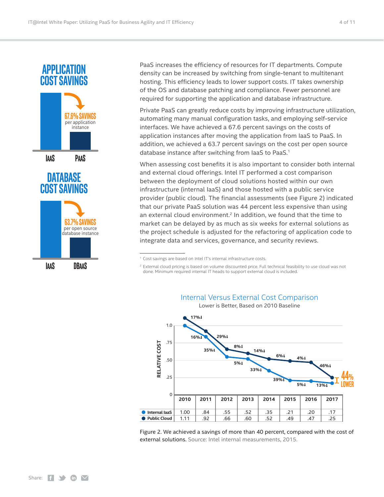

PaaS increases the efficiency of resources for IT departments. Compute density can be increased by switching from single-tenant to multitenant hosting. This efficiency leads to lower support costs. IT takes ownership of the OS and database patching and compliance. Fewer personnel are required for supporting the application and database infrastructure.

Private PaaS can greatly reduce costs by improving infrastructure utilization, automating many manual configuration tasks, and employing self-service interfaces. We have achieved a 67.6 percent savings on the costs of application instances after moving the application from IaaS to PaaS. In addition, we achieved a 63.7 percent savings on the cost per open source database instance after switching from IaaS to PaaS.1

When assessing cost benefits it is also important to consider both internal and external cloud offerings. Intel IT performed a cost comparison between the deployment of cloud solutions hosted within our own infrastructure (internal IaaS) and those hosted with a public service provider (public cloud). The financial assessments (see Figure 2) indicated that our private PaaS solution was 44 percent less expensive than using an external cloud environment.<sup>2</sup> In addition, we found that the time to market can be delayed by as much as six weeks for external solutions as the project schedule is adjusted for the refactoring of application code to integrate data and services, governance, and security reviews.

<sup>2</sup> External cloud pricing is based on volume discounted price. Full technical feasibility to use cloud was not done. Minimum required internal IT heads to support external cloud is included.



Figure 2. We achieved a savings of more than 40 percent, compared with the cost of external solutions. Source: Intel internal measurements, 2015.

# Internal Versus External Cost Comparison

Lower is Better, Based on 2010 Baseline

<sup>1</sup> Cost savings are based on Intel IT's internal infrastructure costs.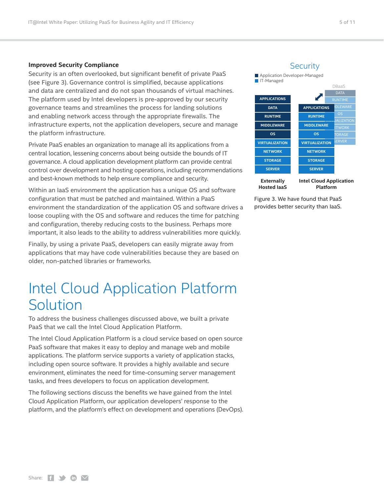#### <span id="page-4-0"></span>**Improved Security Compliance**

Security is an often overlooked, but significant benefit of private PaaS (see Figure 3). Governance control is simplified, because applications and data are centralized and do not span thousands of virtual machines. The platform used by Intel developers is pre-approved by our security governance teams and streamlines the process for landing solutions and enabling network access through the appropriate firewalls. The infrastructure experts, not the application developers, secure and manage the platform infrastructure.

Private PaaS enables an organization to manage all its applications from a central location, lessening concerns about being outside the bounds of IT governance. A cloud application development platform can provide central control over development and hosting operations, including recommendations and best-known methods to help ensure compliance and security.

Within an IaaS environment the application has a unique OS and software configuration that must be patched and maintained. Within a PaaS environment the standardization of the application OS and software drives a loose coupling with the OS and software and reduces the time for patching and configuration, thereby reducing costs to the business. Perhaps more important, it also leads to the ability to address vulnerabilities more quickly.

Finally, by using a private PaaS, developers can easily migrate away from applications that may have code vulnerabilities because they are based on older, non-patched libraries or frameworks.

# Intel Cloud Application Platform Solution

To address the business challenges discussed above, we built a private PaaS that we call the Intel Cloud Application Platform.

The Intel Cloud Application Platform is a cloud service based on open source PaaS software that makes it easy to deploy and manage web and mobile applications. The platform service supports a variety of application stacks, including open source software. It provides a highly available and secure environment, eliminates the need for time-consuming server management tasks, and frees developers to focus on application development.

The following sections discuss the benefits we have gained from the Intel Cloud Application Platform, our application developers' response to the platform, and the platform's effect on development and operations (DevOps).

#### **Security**



**Externally Hosted IaaS Intel Cloud Application Platform**

Figure 3. We have found that PaaS provides better security than IaaS.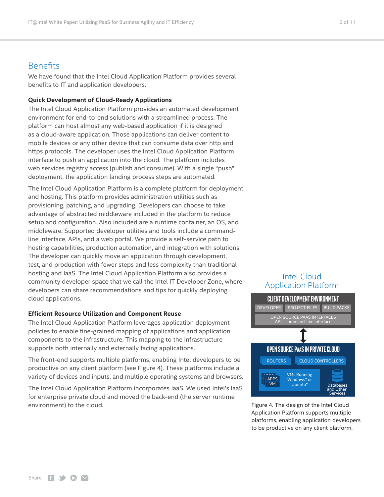### <span id="page-5-0"></span>**Benefits**

We have found that the Intel Cloud Application Platform provides several benefits to IT and application developers.

#### **Quick Development of Cloud-Ready Applications**

The Intel Cloud Application Platform provides an automated development environment for end-to-end solutions with a streamlined process. The platform can host almost any web-based application if it is designed as a cloud-aware application. Those applications can deliver content to mobile devices or any other device that can consume data over http and https protocols. The developer uses the Intel Cloud Application Platform interface to push an application into the cloud. The platform includes web services registry access (publish and consume). With a single "push" deployment, the application landing process steps are automated.

The Intel Cloud Application Platform is a complete platform for deployment and hosting. This platform provides administration utilities such as provisioning, patching, and upgrading. Developers can choose to take advantage of abstracted middleware included in the platform to reduce setup and configuration. Also included are a runtime container, an OS, and middleware. Supported developer utilities and tools include a commandline interface, APIs, and a web portal. We provide a self-service path to hosting capabilities, production automation, and integration with solutions. The developer can quickly move an application through development, test, and production with fewer steps and less complexity than traditional hosting and IaaS. The Intel Cloud Application Platform also provides a community developer space that we call the Intel IT Developer Zone, where developers can share recommendations and tips for quickly deploying cloud applications.

#### **Efficient Resource Utilization and Component Reuse**

The Intel Cloud Application Platform leverages application deployment policies to enable fine-grained mapping of applications and application components to the infrastructure. This mapping to the infrastructure supports both internally and externally facing applications.

The front-end supports multiple platforms, enabling Intel developers to be productive on any client platform (see Figure 4). These platforms include a variety of devices and inputs, and multiple operating systems and browsers.

The Intel Cloud Application Platform incorporates IaaS. We used Intel's IaaS for enterprise private cloud and moved the back-end (the server runtime environment) to the cloud. The cloud is a set of the Intel Cloud service is a set of the Intel Cloud in the Intel Cloud

### Intel Cloud Application Platform



Application Platform supports multiple platforms, enabling application developers to be productive on any client platform.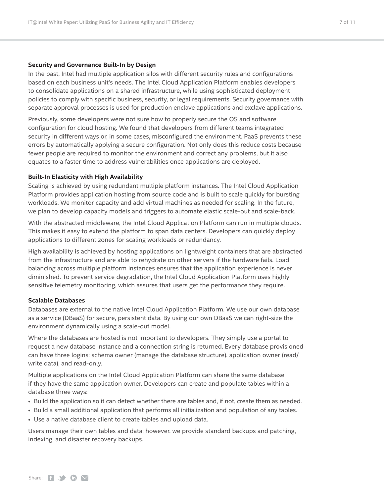#### **Security and Governance Built-In by Design**

In the past, Intel had multiple application silos with different security rules and configurations based on each business unit's needs. The Intel Cloud Application Platform enables developers to consolidate applications on a shared infrastructure, while using sophisticated deployment policies to comply with specific business, security, or legal requirements. Security governance with separate approval processes is used for production enclave applications and exclave applications.

Previously, some developers were not sure how to properly secure the OS and software configuration for cloud hosting. We found that developers from different teams integrated security in different ways or, in some cases, misconfigured the environment. PaaS prevents these errors by automatically applying a secure configuration. Not only does this reduce costs because fewer people are required to monitor the environment and correct any problems, but it also equates to a faster time to address vulnerabilities once applications are deployed.

#### **Built-In Elasticity with High Availability**

Scaling is achieved by using redundant multiple platform instances. The Intel Cloud Application Platform provides application hosting from source code and is built to scale quickly for bursting workloads. We monitor capacity and add virtual machines as needed for scaling. In the future, we plan to develop capacity models and triggers to automate elastic scale-out and scale-back.

With the abstracted middleware, the Intel Cloud Application Platform can run in multiple clouds. This makes it easy to extend the platform to span data centers. Developers can quickly deploy applications to different zones for scaling workloads or redundancy.

High availability is achieved by hosting applications on lightweight containers that are abstracted from the infrastructure and are able to rehydrate on other servers if the hardware fails. Load balancing across multiple platform instances ensures that the application experience is never diminished. To prevent service degradation, the Intel Cloud Application Platform uses highly sensitive telemetry monitoring, which assures that users get the performance they require.

#### **Scalable Databases**

Databases are external to the native Intel Cloud Application Platform. We use our own database as a service (DBaaS) for secure, persistent data. By using our own DBaaS we can right-size the environment dynamically using a scale-out model.

Where the databases are hosted is not important to developers. They simply use a portal to request a new database instance and a connection string is returned. Every database provisioned can have three logins: schema owner (manage the database structure), application owner (read/ write data), and read-only.

Multiple applications on the Intel Cloud Application Platform can share the same database if they have the same application owner. Developers can create and populate tables within a database three ways:

- Build the application so it can detect whether there are tables and, if not, create them as needed.
- Build a small additional application that performs all initialization and population of any tables.
- Use a native database client to create tables and upload data.

Users manage their own tables and data; however, we provide standard backups and patching, indexing, and disaster recovery backups.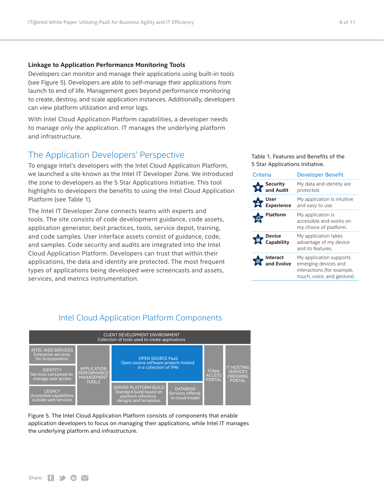#### <span id="page-7-0"></span>**Linkage to Application Performance Monitoring Tools**

Developers can monitor and manage their applications using built-in tools (see Figure 5). Developers are able to self-manage their applications from launch to end of life. Management goes beyond performance monitoring to create, destroy, and scale application instances. Additionally, developers can view platform utilization and error logs.

With Intel Cloud Application Platform capabilities, a developer needs to manage only the application. IT manages the underlying platform and infrastructure.

### The Application Developers' Perspective

To engage Intel's developers with the Intel Cloud Application Platform, we launched a site known as the Intel IT Developer Zone. We introduced the zone to developers as the 5 Star Applications Initiative. This tool highlights to developers the benefits to using the Intel Cloud Application Platform (see Table 1).

The Intel IT Developer Zone connects teams with experts and tools. The site consists of code development guidance, code assets, application generator, best practices, tools, service depot, training, and code samples. User interface assets consist of guidance, code, and samples. Code security and audits are integrated into the Intel Cloud Application Platform. Developers can trust that within their applications, the data and identity are protected. The most frequent types of applications being developed were screencasts and assets, services, and metrics instrumentation.

Table 1. Features and Benefits of the 5 Star Applications Initiative.

| Criteria                                 | <b>Developer Benefit</b>                                                                                     |
|------------------------------------------|--------------------------------------------------------------------------------------------------------------|
| Security<br>and Audit                    | My data and identity are<br>protected.                                                                       |
| , User<br>Experience                     | My application is intuitive<br>and easy to use.                                                              |
| <b>Platform</b>                          | My application is<br>accessible and works on<br>my choice of platform.                                       |
| Device<br>Capability                     | My application takes<br>advantage of my device<br>and its features.                                          |
| <b>Interact</b><br>nternes<br>and Evolve | My application supports<br>emerging devices and<br>interactions (for example,<br>touch, voice, and gesture). |



#### Figure 5. The Intel Cloud Application Platform consists of components that enable application developers to focus on managing their applications, while Intel IT manages the underlying platform and infrastructure.

gns and template

Share:  $f \rightarrow f$  (in  $\vee$ 

# Intel Cloud Application Platform Components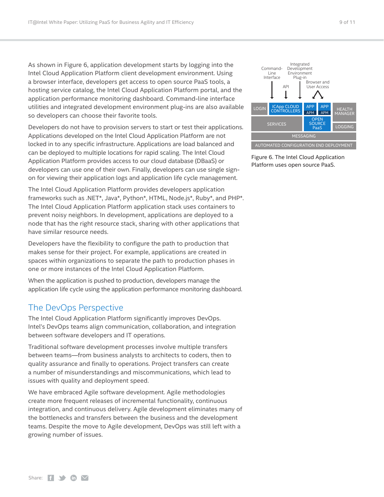<span id="page-8-0"></span>As shown in Figure 6, application development starts by logging into the Intel Cloud Application Platform client development environment. Using a browser interface, developers get access to open source PaaS tools, a hosting service catalog, the Intel Cloud Application Platform portal, and the application performance monitoring dashboard. Command-line interface utilities and integrated development environment plug-ins are also available so developers can choose their favorite tools.

Developers do not have to provision servers to start or test their applications. Applications developed on the Intel Cloud Application Platform are not locked in to any specific infrastructure. Applications are load balanced and can be deployed to multiple locations for rapid scaling. The Intel Cloud Application Platform provides access to our cloud database (DBaaS) or developers can use one of their own. Finally, developers can use single signon for viewing their application logs and application life cycle management.

The Intel Cloud Application Platform provides developers application frameworks such as .NET\*, Java\*, Python\*, HTML, Node.js\*, Ruby\*, and PHP\*. The Intel Cloud Application Platform application stack uses containers to prevent noisy neighbors. In development, applications are deployed to a node that has the right resource stack, sharing with other applications that have similar resource needs.

Developers have the flexibility to configure the path to production that makes sense for their project. For example, applications are created in spaces within organizations to separate the path to production phases in one or more instances of the Intel Cloud Application Platform.

When the application is pushed to production, developers manage the application life cycle using the application performance monitoring dashboard.

# The DevOps Perspective

The Intel Cloud Application Platform significantly improves DevOps. Intel's DevOps teams align communication, collaboration, and integration between software developers and IT operations.

Traditional software development processes involve multiple transfers between teams—from business analysts to architects to coders, then to quality assurance and finally to operations. Project transfers can create a number of misunderstandings and miscommunications, which lead to issues with quality and deployment speed.

We have embraced Agile software development. Agile methodologies create more frequent releases of incremental functionality, continuous integration, and continuous delivery. Agile development eliminates many of the bottlenecks and transfers between the business and the development teams. Despite the move to Agile development, DevOps was still left with a growing number of issues.



Figure 6. The Intel Cloud Application Platform uses open source PaaS.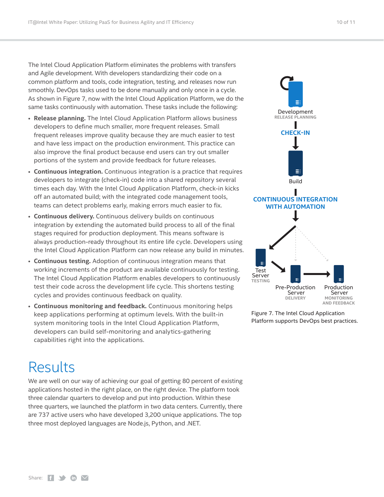<span id="page-9-0"></span>The Intel Cloud Application Platform eliminates the problems with transfers and Agile development. With developers standardizing their code on a common platform and tools, code integration, testing, and releases now run smoothly. DevOps tasks used to be done manually and only once in a cycle. As shown in Figure 7, now with the Intel Cloud Application Platform, we do the same tasks continuously with automation. These tasks include the following:

- **Release planning.** The Intel Cloud Application Platform allows business developers to define much smaller, more frequent releases. Small frequent releases improve quality because they are much easier to test and have less impact on the production environment. This practice can also improve the final product because end users can try out smaller portions of the system and provide feedback for future releases.
- **Continuous integration.** Continuous integration is a practice that requires developers to integrate (check-in) code into a shared repository several times each day. With the Intel Cloud Application Platform, check-in kicks off an automated build; with the integrated code management tools, teams can detect problems early, making errors much easier to fix.
- **Continuous delivery.** Continuous delivery builds on continuous integration by extending the automated build process to all of the final stages required for production deployment. This means software is always production-ready throughout its entire life cycle. Developers using the Intel Cloud Application Platform can now release any build in minutes.
- **Continuous testing.** Adoption of continuous integration means that working increments of the product are available continuously for testing. The Intel Cloud Application Platform enables developers to continuously test their code across the development life cycle. This shortens testing cycles and provides continuous feedback on quality.
- **Continuous monitoring and feedback.** Continuous monitoring helps keep applications performing at optimum levels. With the built-in system monitoring tools in the Intel Cloud Application Platform, developers can build self-monitoring and analytics-gathering capabilities right into the applications.



We are well on our way of achieving our goal of getting 80 percent of existing applications hosted in the right place, on the right device. The platform took three calendar quarters to develop and put into production. Within these three quarters, we launched the platform in two data centers. Currently, there are 737 active users who have developed 3,200 unique applications. The top three most deployed languages are Node.js, Python, and .NET.



Figure 7. The Intel Cloud Application Platform supports DevOps best practices.